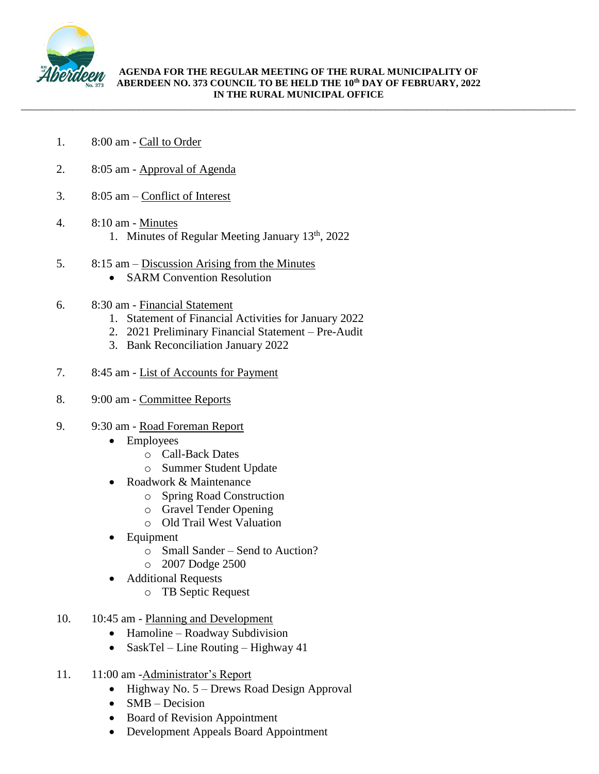

\_\_\_\_\_\_\_\_\_\_\_\_\_\_\_\_\_\_\_\_\_\_\_\_\_\_\_\_\_\_\_\_\_\_\_\_\_\_\_\_\_\_\_\_\_\_\_\_\_\_\_\_\_\_\_\_\_\_\_\_\_\_\_\_\_\_\_\_\_\_\_\_\_\_\_\_\_\_\_\_\_\_\_\_\_\_\_\_\_\_\_\_\_\_\_\_\_\_\_\_\_\_\_\_\_\_\_\_

- 1. 8:00 am Call to Order
- 2. 8:05 am Approval of Agenda
- 3. 8:05 am Conflict of Interest
- 4. 8:10 am Minutes 1. Minutes of Regular Meeting January 13<sup>th</sup>, 2022
- 5. 8:15 am Discussion Arising from the Minutes
	- SARM Convention Resolution
- 6. 8:30 am Financial Statement
	- 1. Statement of Financial Activities for January 2022
	- 2. 2021 Preliminary Financial Statement Pre-Audit
	- 3. Bank Reconciliation January 2022
- 7. 8:45 am List of Accounts for Payment
- 8. 9:00 am Committee Reports
- 9. 9:30 am Road Foreman Report
	- Employees
		- o Call-Back Dates
		- o Summer Student Update
	- Roadwork & Maintenance
		- o Spring Road Construction
		- o Gravel Tender Opening
		- o Old Trail West Valuation
	- Equipment
		- o Small Sander Send to Auction?
		- o 2007 Dodge 2500
	- Additional Requests
		- o TB Septic Request
- 10. 10:45 am Planning and Development
	- Hamoline Roadway Subdivision
	- SaskTel Line Routing Highway 41
- 11. 11:00 am -Administrator's Report
	- $\bullet$  Highway No. 5 Drews Road Design Approval
	- $\bullet$  SMB Decision
	- Board of Revision Appointment
	- Development Appeals Board Appointment